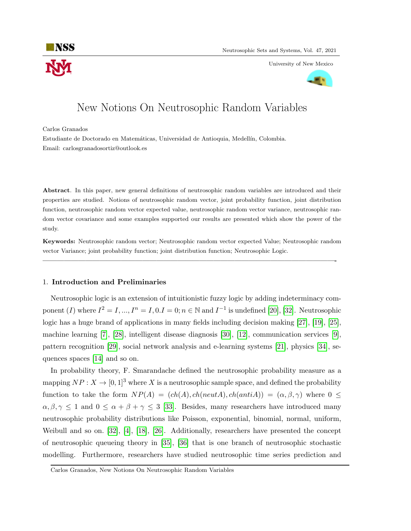

University of New Mexico



# New Notions On Neutrosophic Random Variables

Carlos Granados

Estudiante de Doctorado en Matemáticas, Universidad de Antioquia, Medellín, Colombia. Email: carlosgranadosortiz@outlook.es

Abstract. In this paper, new general definitions of neutrosophic random variables are introduced and their properties are studied. Notions of neutrosophic random vector, joint probability function, joint distribution function, neutrosophic random vector expected value, neutrosophic random vector variance, neutrosophic random vector covariance and some examples supported our results are presented which show the power of the study.

Keywords: Neutrosophic random vector; Neutrosophic random vector expected Value; Neutrosophic random vector Variance; joint probability function; joint distribution function; Neutrosophic Logic.

—————————————————————————————————————————-

### 1. Introduction and Preliminaries

Neutrosophic logic is an extension of intuitionistic fuzzy logic by adding indeterminacy component (I) where  $I^2 = I, ..., I^n = I, 0,I = 0; n \in \mathbb{N}$  and  $I^{-1}$  is undefined [\[20\]](#page-10-0), [\[32\]](#page-11-0). Neutrosophic logic has a huge brand of applications in many fields including decision making [\[27\]](#page-11-1), [\[19\]](#page-10-1), [\[25\]](#page-10-2), machine learning [\[7\]](#page-10-3), [\[28\]](#page-11-2), intelligent disease diagnosis [\[30\]](#page-11-3), [\[12\]](#page-10-4), communication services [\[9\]](#page-10-5), pattern recognition [\[29\]](#page-11-4), social network analysis and e-learning systems [\[21\]](#page-10-6), physics [\[34\]](#page-11-5), sequences spaces [\[14\]](#page-10-7) and so on.

In probability theory, F. Smarandache defined the neutrosophic probability measure as a mapping  $NP: X \to [0, 1]^3$  where X is a neutrosophic sample space, and defined the probability function to take the form  $NP(A) = (ch(A), ch(ncutA), ch(antiA)) = (\alpha, \beta, \gamma)$  where  $0 \le$  $\alpha, \beta, \gamma \leq 1$  and  $0 \leq \alpha + \beta + \gamma \leq 3$  [\[33\]](#page-11-6). Besides, many researchers have introduced many neutrosophic probability distributions like Poisson, exponential, binomial, normal, uniform, Weibull and so on. [\[32\]](#page-11-0), [\[4\]](#page-10-8), [\[18\]](#page-10-9), [\[26\]](#page-11-7). Additionally, researchers have presented the concept of neutrosophic queueing theory in [\[35\]](#page-11-8), [\[36\]](#page-11-9) that is one branch of neutrosophic stochastic modelling. Furthermore, researchers have studied neutrosophic time series prediction and

Carlos Granados, New Notions On Neutrosophic Random Variables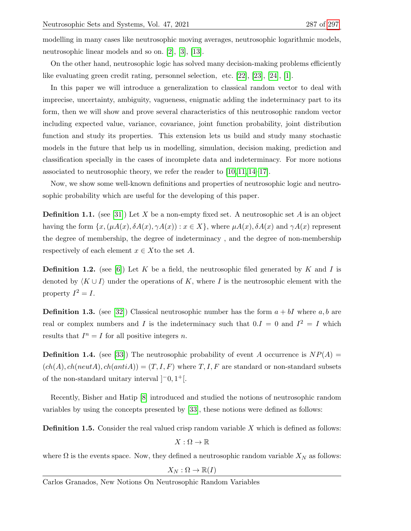modelling in many cases like neutrosophic moving averages, neutrosophic logarithmic models, neutrosophic linear models and so on. [\[2\]](#page-9-0), [\[3\]](#page-9-1), [\[13\]](#page-10-10).

On the other hand, neutrosophic logic has solved many decision-making problems efficiently like evaluating green credit rating, personnel selection, etc. [\[22\]](#page-10-11), [\[23\]](#page-10-12), [\[24\]](#page-10-13), [\[1\]](#page-9-2).

In this paper we will introduce a generalization to classical random vector to deal with imprecise, uncertainty, ambiguity, vagueness, enigmatic adding the indeterminacy part to its form, then we will show and prove several characteristics of this neutrosophic random vector including expected value, variance, covariance, joint function probability, joint distribution function and study its properties. This extension lets us build and study many stochastic models in the future that help us in modelling, simulation, decision making, prediction and classification specially in the cases of incomplete data and indeterminacy. For more notions associated to neutrosophic theory, we refer the reader to  $[10, 11, 14-17]$  $[10, 11, 14-17]$  $[10, 11, 14-17]$  $[10, 11, 14-17]$ .

Now, we show some well-known definitions and properties of neutrosophic logic and neutrosophic probability which are useful for the developing of this paper.

**Definition 1.1.** (see [\[31\]](#page-11-11)) Let X be a non-empty fixed set. A neutrosophic set A is an object having the form  $\{x, (\mu A(x), \delta A(x), \gamma A(x)) : x \in X\}$ , where  $\mu A(x), \delta A(x)$  and  $\gamma A(x)$  represent the degree of membership, the degree of indeterminacy , and the degree of non-membership respectively of each element  $x \in X$  to the set A.

**Definition 1.2.** (see [\[6\]](#page-10-17)) Let K be a field, the neutrosophic filed generated by K and I is denoted by  $\langle K \cup I \rangle$  under the operations of K, where I is the neutrosophic element with the property  $I^2 = I$ .

**Definition 1.3.** (see [\[32\]](#page-11-0)) Classical neutrosophic number has the form  $a + bI$  where  $a, b$  are real or complex numbers and I is the indeterminacy such that  $0.I = 0$  and  $I^2 = I$  which results that  $I^n = I$  for all positive integers n.

**Definition 1.4.** (see [\[33\]](#page-11-6)) The neutrosophic probability of event A occurrence is  $NP(A)$  =  $(ch(A), ch(ncutA), ch(antiA)) = (T, I, F)$  where  $T, I, F$  are standard or non-standard subsets of the non-standard unitary interval  $[-0, 1^+]$ .

Recently, Bisher and Hatip [\[8\]](#page-10-18) introduced and studied the notions of neutrosophic random variables by using the concepts presented by [\[33\]](#page-11-6), these notions were defined as follows:

**Definition 1.5.** Consider the real valued crisp random variable X which is defined as follows:

$$
X:\Omega\to\mathbb{R}
$$

where  $\Omega$  is the events space. Now, they defined a neutrosophic random variable  $X_N$  as follows:

 $X_N : \Omega \to \mathbb{R}(I)$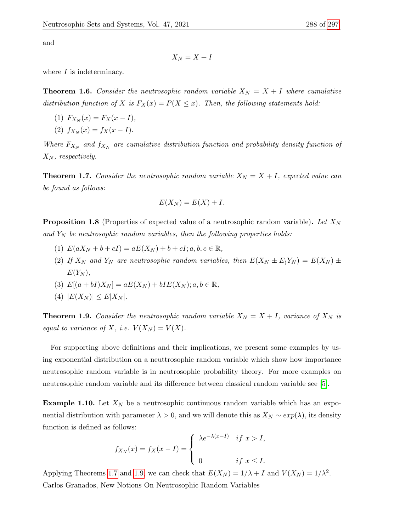and

$$
X_N=X+I
$$

where *I* is indeterminacy.

**Theorem 1.6.** Consider the neutrosophic random variable  $X_N = X + I$  where cumulative distribution function of X is  $F_X(x) = P(X \leq x)$ . Then, the following statements hold:

- (1)  $F_{X_N}(x) = F_X(x I),$
- (2)  $f_{X_N}(x) = f_X(x I).$

Where  $F_{X_N}$  and  $f_{X_N}$  are cumulative distribution function and probability density function of  $X_N$ , respectively.

<span id="page-2-0"></span>**Theorem 1.7.** Consider the neutrosophic random variable  $X_N = X + I$ , expected value can be found as follows:

$$
E(X_N) = E(X) + I.
$$

**Proposition 1.8** (Properties of expected value of a neutrosophic random variable). Let  $X_N$ and  $Y_N$  be neutrosophic random variables, then the following properties holds:

- (1)  $E(aX_N + b + cI) = aE(X_N) + b + cI; a, b, c \in \mathbb{R},$
- (2) If  $X_N$  and  $Y_N$  are neutrosophic random variables, then  $E(X_N \pm E(Y_N) = E(X_N) \pm E(Y_N)$  $E(Y_N),$
- (3)  $E[(a + bI)X_N] = aE(X_N) + bIE(X_N); a, b \in \mathbb{R},$
- (4)  $|E(X_N)| \leq E|X_N|$ .

<span id="page-2-1"></span>**Theorem 1.9.** Consider the neutrosophic random variable  $X_N = X + I$ , variance of  $X_N$  is equal to variance of X, i.e.  $V(X_N) = V(X)$ .

For supporting above definitions and their implications, we present some examples by using exponential distribution on a neuttrosophic random variable which show how importance neutrosophic random variable is in neutrosophic probability theory. For more examples on neutrosophic random variable and its difference between classical random variable see [\[5\]](#page-10-19).

<span id="page-2-2"></span>**Example 1.10.** Let  $X_N$  be a neutrosophic continuous random variable which has an exponential distribution with parameter  $\lambda > 0$ , and we will denote this as  $X_N \sim exp(\lambda)$ , its density function is defined as follows:

$$
f_{X_N}(x) = f_X(x - I) = \begin{cases} \lambda e^{-\lambda(x - I)} & \text{if } x > I, \\ 0 & \text{if } x \le I. \end{cases}
$$

Applying Theorems [1.7](#page-2-0) and [1.9,](#page-2-1) we can check that  $E(X_N) = 1/\lambda + I$  and  $V(X_N) = 1/\lambda^2$ .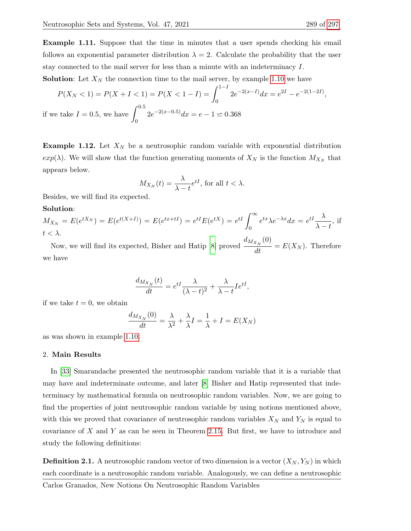Example 1.11. Suppose that the time in minutes that a user spends checking his email follows an exponential parameter distribution  $\lambda = 2$ . Calculate the probability that the user stay connected to the mail server for less than a minute with an indeterminacy I.

**Solution:** Let  $X_N$  the connection time to the mail server, by example [1.10](#page-2-2) we have

$$
P(X_N < 1) = P(X + I < 1) = P(X < 1 - I) = \int_0^{1 - I} 2e^{-2(x - I)} dx = e^{2I} - e^{-2(1 - 2I)},
$$
\nif we take  $I = 0.5$ , we have 
$$
\int_0^{0.5} 2e^{-2(x - 0.5)} dx = e - 1 \approx 0.368
$$

**Example 1.12.** Let  $X_N$  be a neutrosophic random variable with exponential distribution  $exp(\lambda)$ . We will show that the function generating moments of  $X_N$  is the function  $M_{X_N}$  that appears below.

$$
M_{X_N}(t) = \frac{\lambda}{\lambda - t} e^{tI}, \text{ for all } t < \lambda.
$$

Besides, we will find its expected.

## Solution:

$$
M_{X_N} = E(e^{tX_N}) = E(e^{t(X+I)}) = E(e^{tx+ti}) = e^{tI}E(e^{tX}) = e^{tI}\int_0^\infty e^{tx}\lambda e^{-\lambda x}dx = e^{tI}\frac{\lambda}{\lambda - t},
$$
if  $t < \lambda$ .

Now, we will find its expected, Bisher and Hatip [\[8\]](#page-10-18) proved  $\frac{d_{M_{X_N}}(0)}{U}$  $\frac{dN}{dt} = E(X_N)$ . Therefore we have

$$
\frac{d_{M_{X_N}}(t)}{dt} = e^{tI} \frac{\lambda}{(\lambda - t)^2} + \frac{\lambda}{\lambda - t} I e^{tI},
$$

if we take  $t = 0$ , we obtain

$$
\frac{d_{M_{X_N}}(0)}{dt} = \frac{\lambda}{\lambda^2} + \frac{\lambda}{\lambda}I = \frac{1}{\lambda} + I = E(X_N)
$$

as was shown in example [1.10.](#page-2-2)

## 2. Main Results

In [\[33\]](#page-11-6) Smarandache presented the neutrosophic random variable that it is a variable that may have and indeterminate outcome, and later [\[8\]](#page-10-18) Bisher and Hatip represented that indeterminacy by mathematical formula on neutrosophic random variables. Now, we are going to find the properties of joint neutrosophic random variable by using notions mentioned above, with this we proved that covariance of neutrosophic random variables  $X_N$  and  $Y_N$  is equal to covariance of X and Y as can be seen in Theorem [2.15.](#page-7-0) But first, we have to introduce and study the following definitions:

**Definition 2.1.** A neutrosophic random vector of two dimension is a vector  $(X_N, Y_N)$  in which each coordinate is a neutrosophic random variable. Analogously, we can define a neutrosophic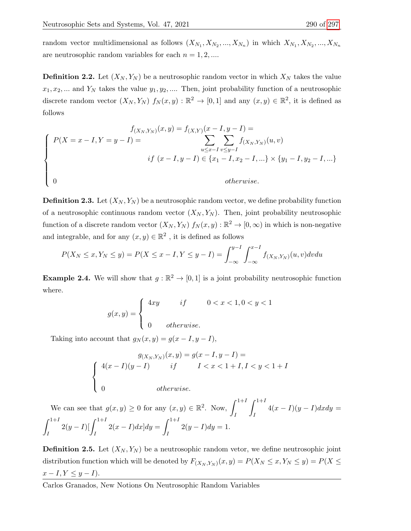random vector multidimensional as follows  $(X_{N_1}, X_{N_2}, ..., X_{N_n})$  in which  $X_{N_1}, X_{N_2}, ..., X_{N_n}$ are neutrosophic random variables for each  $n = 1, 2, ...$ 

**Definition 2.2.** Let  $(X_N, Y_N)$  be a neutrosophic random vector in which  $X_N$  takes the value  $x_1, x_2, \ldots$  and  $Y_N$  takes the value  $y_1, y_2, \ldots$  Then, joint probability function of a neutrosophic discrete random vector  $(X_N, Y_N)$   $f_N(x, y) : \mathbb{R}^2 \to [0, 1]$  and any  $(x, y) \in \mathbb{R}^2$ , it is defined as follows

$$
f_{(X_N,Y_N)}(x,y) = f_{(X,Y)}(x - I, y - I) =
$$
\n
$$
\sum_{u \le x - I} \sum_{v \le y - I} f_{(X_N,Y_N)}(u,v)
$$
\n
$$
if (x - I, y - I) \in \{x_1 - I, x_2 - I, ...\} \times \{y_1 - I, y_2 - I, ...\}
$$
\n
$$
otherwise.
$$

**Definition 2.3.** Let  $(X_N, Y_N)$  be a neutrosophic random vector, we define probability function of a neutrosophic continuous random vector  $(X_N, Y_N)$ . Then, joint probability neutrosophic function of a discrete random vector  $(X_N, Y_N)$   $f_N(x, y) : \mathbb{R}^2 \to [0, \infty)$  in which is non-negative and integrable, and for any  $(x, y) \in \mathbb{R}^2$ , it is defined as follows

$$
P(X_N \le x, Y_N \le y) = P(X \le x - I, Y \le y - I) = \int_{-\infty}^{y - I} \int_{-\infty}^{x - I} f_{(X_N, Y_N)}(u, v) dv du
$$

**Example 2.4.** We will show that  $g : \mathbb{R}^2 \to [0,1]$  is a joint probability neutrosophic function where.

$$
g(x,y) = \begin{cases} 4xy & \text{if } 0 < x < 1, 0 < y < 1 \\ 0 & \text{otherwise.} \end{cases}
$$

Taking into account that  $g_N(x, y) = g(x - I, y - I)$ ,

$$
g_{(X_N,Y_N)}(x,y) = g(x-I, y-I) =
$$
\n
$$
\begin{cases}\n4(x-I)(y-I) & if \quad I < x < 1+I, I < y < 1+I \\
0 & otherwise.\n\end{cases}
$$

We can see that  $g(x, y) \geq 0$  for any  $(x, y) \in \mathbb{R}^2$ . Now,  $\int_{0}^{1+I}$ I  $\int$ <sup>1+I</sup> I  $4(x-I)(y-I)dxdy =$  $\int$ <sup>1+I</sup> I  $2(y-I)$ [ $\int^{1+I}$ I  $2(x-I)dx|dy=\int^{1+I}$ I  $2(y-I)dy = 1.$ 

**Definition 2.5.** Let  $(X_N, Y_N)$  be a neutrosophic random vetor, we define neutrosophic joint distribution function which will be denoted by  $F_{(X_N,Y_N)}(x,y) = P(X_N \leq x, Y_N \leq y) = P(X \leq y)$  $x - I, Y \leq y - I$ .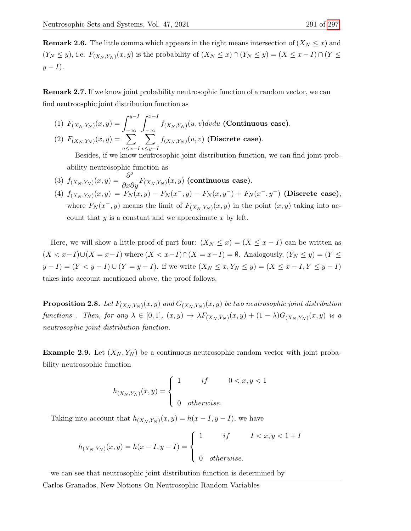**Remark 2.6.** The little comma which appears in the right means intersection of  $(X_N \leq x)$  and  $(Y_N \leq y)$ , i.e.  $F_{(X_N,Y_N)}(x,y)$  is the probability of  $(X_N \leq x) \cap (Y_N \leq y) = (X \leq x - I) \cap (Y \leq$  $y-I$ ).

Remark 2.7. If we know joint probability neutrosophic function of a random vector, we can find neutroosphic joint distribution function as

(1) 
$$
F_{(X_N, Y_N)}(x, y) = \int_{-\infty}^{y-1} \int_{-\infty}^{x-1} f_{(X_N, Y_N)}(u, v) dv du
$$
 (Continuous case).  
\n(2)  $F_{(X_N, Y_N)}(x, y) = \sum_{u \le x-1}^{x} \sum_{v \le y-1}^{x} f_{(X_N, Y_N)}(u, v)$  (Discrete case).

Besides, if we know neutrosophic joint distribution function, we can find joint probability neutrosophic function as

(3) 
$$
f_{(X_N,Y_N)}(x,y) = \frac{\partial^2}{\partial x \partial y} F_{(X_N,Y_N)}(x,y)
$$
 (continuous case).

(4)  $f_{(X_N,Y_N)}(x,y) = F_N(x,y) - F_N(x^-,y) - F_N(x,y^-) + F_N(x^-,y^-)$  (Discrete case), where  $F_N(x^-, y)$  means the limit of  $F_{(X_N, Y_N)}(x, y)$  in the point  $(x, y)$  taking into account that  $y$  is a constant and we approximate  $x$  by left.

Here, we will show a little proof of part four:  $(X_N \leq x) = (X \leq x - I)$  can be written as  $(X < x-I) \cup (X = x-I)$  where  $(X < x-I) \cap (X = x-I) = \emptyset$ . Analogously,  $(Y_N \le y) = (Y \le x-I)$  $y - I$ ) =  $(Y < y - I) \cup (Y = y - I)$ . if we write  $(X_N \le x, Y_N \le y) = (X \le x - I, Y \le y - I)$ takes into account mentioned above, the proof follows.

**Proposition 2.8.** Let  $F_{(X_N,Y_N)}(x,y)$  and  $G_{(X_N,Y_N)}(x,y)$  be two neutrosophic joint distribution functions. Then, for any  $\lambda \in [0,1]$ ,  $(x,y) \to \lambda F_{(X_N,Y_N)}(x,y) + (1-\lambda)G_{(X_N,Y_N)}(x,y)$  is a neutrosophic joint distribution function.

**Example 2.9.** Let  $(X_N, Y_N)$  be a continuous neutrosophic random vector with joint probability neutrosophic function

$$
h_{(X_N,Y_N)}(x,y) = \begin{cases} 1 & if & 0 < x, y < 1 \\ 0 & otherwise. \end{cases}
$$

Taking into account that  $h_{(X_N,Y_N)}(x,y) = h(x-I, y-I)$ , we have

$$
h_{(X_N,Y_N)}(x,y) = h(x-I, y-I) = \begin{cases} 1 & if & I < x, y < 1+I \\ 0 & otherwise. \end{cases}
$$

we can see that neutrosophic joint distribution function is determined by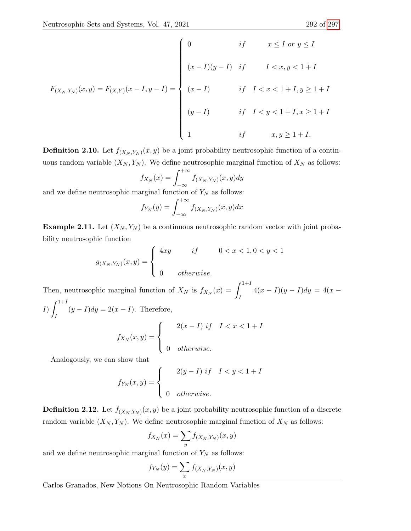$$
F_{(X_N,Y_N)}(x,y) = F_{(X,Y)}(x-I, y-I) = \begin{cases} 0 & if & x \le I \text{ or } y \le I \\ (x-I)(y-I) & if & I < x, y < 1+I \\ (x-I) & if & I < x < 1+I, y \ge 1+I \\ (y-I) & if & I < y < 1+I, x \ge 1+I \\ 1 & if & x,y \ge 1+I. \end{cases}
$$

**Definition 2.10.** Let  $f_{(X_N,Y_N)}(x,y)$  be a joint probability neutrosophic function of a continuous random variable  $(X_N, Y_N)$ . We define neutrosophic marginal function of  $X_N$  as follows:

$$
f_{X_N}(x) = \int_{-\infty}^{+\infty} f_{(X_N, Y_N)}(x, y) dy
$$

and we define neutrosophic marginal function of  $Y_N$  as follows:

$$
f_{Y_N}(y) = \int_{-\infty}^{+\infty} f_{(X_N, Y_N)}(x, y) dx
$$

**Example 2.11.** Let  $(X_N, Y_N)$  be a continuous neutrosophic random vector with joint probability neutrosophic function

$$
g_{(X_N,Y_N)}(x,y) = \begin{cases} 4xy & \text{if } 0 < x < 1, 0 < y < 1 \\ 0 & \text{otherwise.} \end{cases}
$$

Then, neutrosophic marginal function of  $X_N$  is  $f_{X_N}(x) = \int_0^{1+I}$ I  $4(x - I)(y - I)dy = 4(x -$ *I*)  $\int_1^{1+I} (y-I)dy = 2(x-I)$ . Therefore,

$$
I) \int_{I} (y - I) dy = 2(x - I).
$$
 Therefore,  

$$
f_{X_{N}}(x, y) = \begin{cases} 2(x - I) \text{ if } I < x < 1 + I \\ 0 \text{ otherwise.} \end{cases}
$$

Analogously, we can show that

$$
f_{Y_N}(x,y) = \begin{cases} 2(y-I) \text{ if } I < y < 1+I \\ 0 \text{ otherwise.} \end{cases}
$$

**Definition 2.12.** Let  $f_{(X_N,Y_N)}(x,y)$  be a joint probability neutrosophic function of a discrete random variable  $(X_N, Y_N)$ . We define neutrosophic marginal function of  $X_N$  as follows:

$$
f_{X_N}(x) = \sum_y f_{(X_N, Y_N)}(x, y)
$$

and we define neutrosophic marginal function of  $Y_N$  as follows:

$$
f_{Y_N}(y) = \sum_x f_{(X_N,Y_N)}(x,y)
$$

Carlos Granados, New Notions On Neutrosophic Random Variables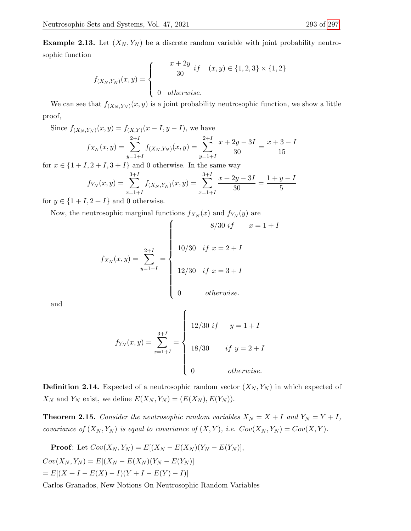**Example 2.13.** Let  $(X_N, Y_N)$  be a discrete random variable with joint probability neutrosophic function

$$
f_{(X_N,Y_N)}(x,y) = \begin{cases} \frac{x+2y}{30} \; if & (x,y) \in \{1,2,3\} \times \{1,2\} \\ 0 & otherwise. \end{cases}
$$

We can see that  $f_{(X_N,Y_N)}(x,y)$  is a joint probability neutrosophic function, we show a little proof,

Since 
$$
f_{(X_N, Y_N)}(x, y) = f_{(X,Y)}(x - I, y - I)
$$
, we have  
\n
$$
f_{X_N}(x, y) = \sum_{y=1+I}^{2+I} f_{(X_N, Y_N)}(x, y) = \sum_{y=1+I}^{2+I} \frac{x + 2y - 3I}{30} = \frac{x + 3 - I}{15}
$$

for  $x \in \{1 + I, 2 + I, 3 + I\}$  and 0 otherwise. In the same way

$$
f_{Y_N}(x,y) = \sum_{x=1+I}^{3+I} f_{(X_N,Y_N)}(x,y) = \sum_{x=1+I}^{3+I} \frac{x+2y-3I}{30} = \frac{1+y-I}{5}
$$

for  $y \in \{1 + I, 2 + I\}$  and 0 otherwise.

Now, the neutrosophic marginal functions  $f_{X_N}(x)$  and  $f_{Y_N}(y)$  are

$$
f_{X_N}(x,y) = \sum_{y=1+I}^{2+I} = \begin{cases} 8/30 \text{ if } x = 1+I \\ 10/30 \text{ if } x = 2+I \\ 12/30 \text{ if } x = 3+I \\ 0 \text{ otherwise.} \end{cases}
$$

and

$$
f_{Y_N}(x,y) = \sum_{x=1+I}^{3+I} = \begin{cases} 12/30 \text{ if } y = 1+I \\ 18/30 & \text{ if } y = 2+I \\ 0 & otherwise. \end{cases}
$$

**Definition 2.14.** Expected of a neutrosophic random vector  $(X_N, Y_N)$  in which expected of  $X_N$  and  $Y_N$  exist, we define  $E(X_N, Y_N) = (E(X_N), E(Y_N)).$ 

<span id="page-7-0"></span>**Theorem 2.15.** Consider the neutrosophic random variables  $X_N = X + I$  and  $Y_N = Y + I$ , covariance of  $(X_N, Y_N)$  is equal to covariance of  $(X, Y)$ , i.e.  $Cov(X_N, Y_N) = Cov(X, Y)$ .

**Proof:** Let  $Cov(X_N, Y_N) = E[(X_N - E(X_N)(Y_N - E(Y_N))],$  $Cov(X_N, Y_N) = E[(X_N - E(X_N)(Y_N - E(Y_N))]$  $= E[(X + I - E(X) - I)(Y + I - E(Y) - I)]$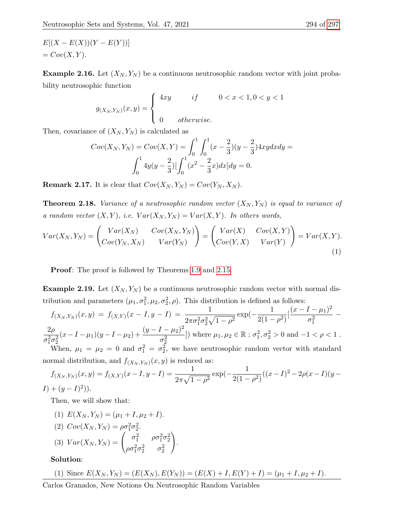**Example 2.16.** Let  $(X_N, Y_N)$  be a continuous neutrosophic random vector with joint probability neutrosophic function

$$
g_{(X_N,Y_N)}(x,y) = \begin{cases} 4xy & \text{if } 0 < x < 1, 0 < y < 1 \\ 0 & \text{otherwise.} \end{cases}
$$

Then, covariance of  $(X_N, Y_N)$  is calculated as

$$
Cov(X_N, Y_N) = Cov(X, Y) = \int_0^1 \int_0^1 (x - \frac{2}{3})(y - \frac{2}{3}) 4xy dx dy = \int_0^1 4y(y - \frac{2}{3}) [\int_0^1 (x^2 - \frac{2}{3}x) dx] dy = 0.
$$

**Remark 2.17.** It is clear that  $Cov(X_N, Y_N) = Cov(Y_N, X_N)$ .

**Theorem 2.18.** Variance of a neutrosophic random vector  $(X_N, Y_N)$  is equal to variance of a random vector  $(X, Y)$ , i.e.  $Var(X_N, Y_N) = Var(X, Y)$ . In others words,

$$
Var(X_N, Y_N) = \begin{pmatrix} Var(X_N) & Cov(X_N, Y_N) \\ Cov(Y_N, X_N) & Var(Y_N) \end{pmatrix} = \begin{pmatrix} Var(X) & Cov(X, Y) \\ Cov(Y, X) & Var(Y) \end{pmatrix} = Var(X, Y).
$$
\n(1)

**Proof:** The proof is followed by Theorems [1.9](#page-2-1) and [2.15.](#page-7-0)

**Example 2.19.** Let  $(X_N, Y_N)$  be a continuous neutrosophic random vector with normal distribution and parameters  $(\mu_1, \sigma_1^2, \mu_2, \sigma_2^2, \rho)$ . This distribution is defined as follows:

$$
f_{(X_N,Y_N)}(x,y) = f_{(X,Y)}(x-I, y-I) = \frac{1}{2\pi\sigma_1^2\sigma_2^2\sqrt{1-\rho^2}} \exp\left(-\frac{1}{2(1-\rho^2)}\left[\frac{(x-I-\mu_1)^2}{\sigma_1^2}\right] - \frac{2\rho}{\sigma_1^2\sigma_2^2}(x-I-\mu_1)(y-I-\mu_2) + \frac{(y-I-\mu_2)^2}{\sigma_2^2}\right])
$$
 where  $\mu_1, \mu_2 \in \mathbb{R}$ ;  $\sigma_1^2, \sigma_2^2 > 0$  and  $-1 < \rho < 1$ .  
When,  $\mu_1 = \mu_2 = 0$  and  $\sigma_1^2 = \sigma_2^2$ , we have neutrosophic random vector with standard

normal distribution, and  $f_{(X_N,Y_N)}(x,y)$  is reduced as:

$$
f_{(X_N,Y_N)}(x,y) = f_{(X,Y)}(x-I, y-I) = \frac{1}{2\pi\sqrt{1-\rho^2}} \exp(-\frac{1}{2(1-\rho^2)}((x-I)^2 - 2\rho(x-I)(y-I))
$$

 $(I) + (y - I)^2)$ .

Then, we will show that:

(1) 
$$
E(X_N, Y_N) = (\mu_1 + I, \mu_2 + I).
$$
  
\n(2)  $Cov(X_N, Y_N) = \rho \sigma_1^2 \sigma_2^2.$   
\n(3)  $Var(X_N, Y_N) = \begin{pmatrix} \sigma_1^2 & \rho \sigma_1^2 \sigma_2^2 \\ \rho \sigma_1^2 \sigma_2^2 & \sigma_2^2 \end{pmatrix}$ 

Solution:

(1) Since 
$$
E(X_N, Y_N) = (E(X_N), E(Y_N)) = (E(X) + I, E(Y) + I) = (\mu_1 + I, \mu_2 + I).
$$

.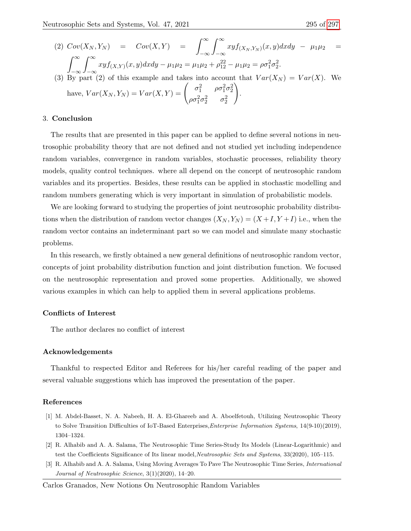(2) 
$$
Cov(X_N, Y_N) = Cov(X, Y) = \int_{-\infty}^{\infty} \int_{-\infty}^{\infty} xy f_{(X_N, Y_N)}(x, y) dx dy - \mu_1 \mu_2 =
$$
  

$$
\int_{-\infty}^{\infty} \int_{-\infty}^{\infty} xy f_{(X, Y)}(x, y) dx dy - \mu_1 \mu_2 = \mu_1 \mu_2 + \rho_{12}^2 - \mu_1 \mu_2 = \rho \sigma_1^2 \sigma_2^2.
$$
  
(3) By part (2) of this example and takes into account that  $Var(X_N) = Var(X)$ . We

(3) By part (2) of this example and takes into account that 
$$
Var(X_N) = Var(X)
$$
. We have,  $Var(X_N, Y_N) = Var(X, Y) = \begin{pmatrix} \sigma_1^2 & \rho \sigma_1^2 \sigma_2^2 \\ \rho \sigma_1^2 \sigma_2^2 & \sigma_2^2 \end{pmatrix}$ .

#### 3. Conclusion

The results that are presented in this paper can be applied to define several notions in neutrosophic probability theory that are not defined and not studied yet including independence random variables, convergence in random variables, stochastic processes, reliability theory models, quality control techniques. where all depend on the concept of neutrosophic random variables and its properties. Besides, these results can be applied in stochastic modelling and random numbers generating which is very important in simulation of probabilistic models.

We are looking forward to studying the properties of joint neutrosophic probability distributions when the distribution of random vector changes  $(X_N, Y_N) = (X + I, Y + I)$  i.e., when the random vector contains an indeterminant part so we can model and simulate many stochastic problems.

In this research, we firstly obtained a new general definitions of neutrosophic random vector, concepts of joint probability distribution function and joint distribution function. We focused on the neutrosophic representation and proved some properties. Additionally, we showed various examples in which can help to applied them in several applications problems.

## Conflicts of Interest

The author declares no conflict of interest

#### Acknowledgements

Thankful to respected Editor and Referees for his/her careful reading of the paper and several valuable suggestions which has improved the presentation of the paper.

## References

- <span id="page-9-2"></span>[1] M. Abdel-Basset, N. A. Nabeeh, H. A. El-Ghareeb and A. Aboelfetouh, Utilizing Neutrosophic Theory to Solve Transition Difficulties of IoT-Based Enterprises,Enterprise Information Systems, 14(9-10)(2019), 1304–1324.
- <span id="page-9-0"></span>[2] R. Alhabib and A. A. Salama, The Neutrosophic Time Series-Study Its Models (Linear-Logarithmic) and test the Coefficients Significance of Its linear model, Neutrosophic Sets and Systems, 33(2020), 105–115.
- <span id="page-9-1"></span>[3] R. Alhabib and A. A. Salama, Using Moving Averages To Pave The Neutrosophic Time Series, International Journal of Neutrosophic Science, 3(1)(2020), 14–20.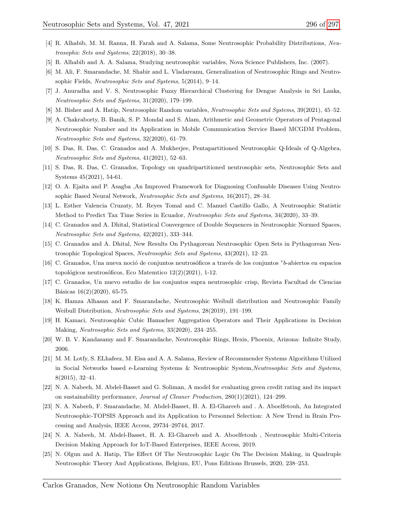- <span id="page-10-8"></span>[4] R. Alhabib, M. M. Ranna, H. Farah and A. Salama, Some Neutrosophic Probability Distributions, Neutrosophic Sets and Systems, 22(2018), 30–38.
- <span id="page-10-19"></span>[5] R. Alhabib and A. A. Salama, Studying neutrosophic variables, Nova Science Publishers, Inc. (2007).
- <span id="page-10-17"></span>[6] M. Ali, F. Smarandache, M. Shabir and L. Vladareanu, Generalization of Neutrosophic Rings and Neutrosophic Fields, Neutrosophic Sets and Systems, 5(2014), 9–14.
- <span id="page-10-3"></span>[7] J. Anuradha and V. S, Neutrosophic Fuzzy Hierarchical Clustering for Dengue Analysis in Sri Lanka, Neutrosophic Sets and Systems, 31(2020), 179–199.
- <span id="page-10-18"></span>[8] M. Bisher and A. Hatip, Neutrosophic Random variables, Neutrosophic Sets and Systems, 39(2021), 45–52.
- <span id="page-10-5"></span>[9] A. Chakraborty, B. Banik, S. P. Mondal and S. Alam, Arithmetic and Geometric Operators of Pentagonal Neutrosophic Number and its Application in Mobile Communication Service Based MCGDM Problem, Neutrosophic Sets and Systems, 32(2020), 61–79.
- <span id="page-10-14"></span>[10] S. Das, R. Das, C. Granados and A. Mukherjee, Pentapartitioned Neutrosophic Q-Ideals of Q-Algebra, Neutrosophic Sets and Systems, 41(2021), 52–63.
- <span id="page-10-15"></span>[11] S. Das, R. Das, C. Granados, Topology on quadripartitioned neutrosophic sets, Neutrosophic Sets and Systems 45(2021), 54-61.
- <span id="page-10-4"></span>[12] O. A. Ejaita and P. Asagba ,An Improved Framework for Diagnosing Confusable Diseases Using Neutrosophic Based Neural Network, Neutrosophic Sets and Systems, 16(2017), 28–34.
- <span id="page-10-10"></span>[13] L. Esther Valencia Cruzaty, M. Reyes Tomal and C. Manuel Castillo Gallo, A Neutrosophic Statistic Method to Predict Tax Time Series in Ecuador, Neutrosophic Sets and Systems, 34(2020), 33–39.
- <span id="page-10-7"></span>[14] C. Granados and A. Dhital, Statistical Convergence of Double Sequences in Neutrosophic Normed Spaces, Neutrosophic Sets and Systems, 42(2021), 333–344.
- [15] C. Granados and A. Dhital, New Results On Pythagorean Neutrosophic Open Sets in Pythagorean Neutrosophic Topological Spaces, Neutrosophic Sets and Systems, 43(2021), 12–23.
- [16] C. Granados, Una nueva noció de conjuntos neutrosóficos a través de los conjuntos \*b-abiertos en espacios topológicos neutrosóficos, Eco Matemtico  $12(2)(2021)$ , 1-12.
- <span id="page-10-16"></span>[17] C. Granados, Un nuevo estudio de los conjuntos supra neutrosophic crisp, Revista Facultad de Ciencias Básicas  $16(2)(2020)$ , 65-75.
- <span id="page-10-9"></span>[18] K. Hamza Alhasan and F. Smarandache, Neutrosophic Weibull distribution and Neutrosophic Family Weibull Distribution, Neutrosophic Sets and Systems, 28(2019), 191–199.
- <span id="page-10-1"></span>[19] H. Kamaci, Neutrosophic Cubic Hamacher Aggregation Operators and Their Applications in Decision Making, Neutrosophic Sets and Systems, 33(2020), 234–255.
- <span id="page-10-0"></span>[20] W. B. V. Kandasamy and F. Smarandache, Neutrosophic Rings, Hexis, Phoenix, Arizona: Infinite Study, 2006.
- <span id="page-10-6"></span>[21] M. M. Lotfy, S. ELhafeez, M. Eisa and A. A. Salama, Review of Recommender Systems Algorithms Utilized in Social Networks based e-Learning Systems & Neutrosophic System,Neutrosophic Sets and Systems, 8(2015), 32–41.
- <span id="page-10-11"></span>[22] N. A. Nabeeh, M. Abdel-Basset and G. Soliman, A model for evaluating green credit rating and its impact on sustainability performance, Journal of Cleaner Production, 280(1)(2021), 124–299.
- <span id="page-10-12"></span>[23] N. A. Nabeeh, F. Smarandache, M. Abdel-Basset, H. A. El-Ghareeb and . A. Aboelfetouh, An Integrated Neutrosophic-TOPSIS Approach and its Application to Personnel Selection: A New Trend in Brain Processing and Analysis, IEEE Access, 29734–29744, 2017.
- <span id="page-10-13"></span>[24] N. A. Nabeeh, M. Abdel-Basset, H. A. El-Ghareeb and A. Aboelfetouh , Neutrosophic Multi-Criteria Decision Making Approach for IoT-Based Enterprises, IEEE Access, 2019.
- <span id="page-10-2"></span>[25] N. Olgun and A. Hatip, The Effect Of The Neutrosophic Logic On The Decision Making, in Quadruple Neutrosophic Theory And Applications, Belgium, EU, Pons Editions Brussels, 2020, 238–253.